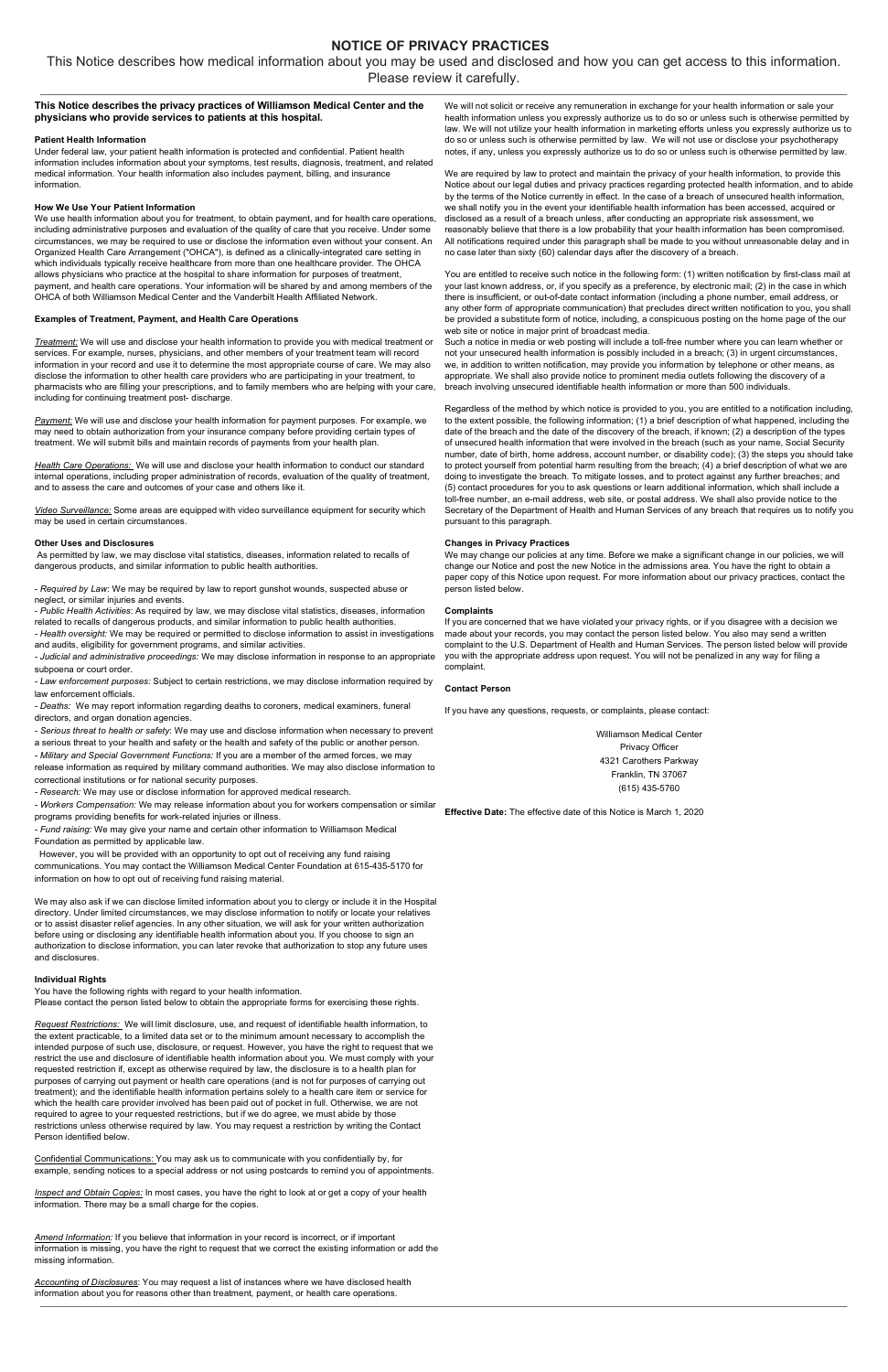# **NOTICE OF PRIVACY PRACTICES**

This Notice describes how medical information about you may be used and disclosed and how you can get access to this information. Please review it carefully.

## **This Notice describes the privacy practices of Williamson Medical Center and the physicians who provide services to patients at this hospital.**

#### **Patient Health Information**

Under federal law, your patient health information is protected and confidential. Patient health information includes information about your symptoms, test results, diagnosis, treatment, and related medical information. Your health information also includes payment, billing, and insurance information.

#### **How We Use Your Patient Information**

We use health information about you for treatment, to obtain payment, and for health care operations, including administrative purposes and evaluation of the quality of care that you receive. Under some circumstances, we may be required to use or disclose the information even without your consent. An Organized Health Care Arrangement ("OHCA"), is defined as a clinically-integrated care setting in which individuals typically receive healthcare from more than one healthcare provider. The OHCA allows physicians who practice at the hospital to share information for purposes of treatment, payment, and health care operations. Your information will be shared by and among members of the OHCA of both Williamson Medical Center and the Vanderbilt Health Affiliated Network.

#### **Examples of Treatment, Payment, and Health Care Operations**

*Treatment:* We will use and disclose your health information to provide you with medical treatment or services. For example, nurses, physicians, and other members of your treatment team will record information in your record and use it to determine the most appropriate course of care. We may also disclose the information to other health care providers who are participating in your treatment, to pharmacists who are filling your prescriptions, and to family members who are helping with your care, including for continuing treatment post- discharge.

*Payment:* We will use and disclose your health information for payment purposes. For example, we may need to obtain authorization from your insurance company before providing certain types of treatment. We will submit bills and maintain records of payments from your health plan.

*Health Care Operations:* We will use and disclose your health information to conduct our standard internal operations, including proper administration of records, evaluation of the quality of treatment, and to assess the care and outcomes of your case and others like it.

*Video Surveillance:* Some areas are equipped with video surveillance equipment for security which may be used in certain circumstances.

#### **Other Uses and Disclosures**

As permitted by law, we may disclose vital statistics, diseases, information related to recalls of dangerous products, and similar information to public health authorities.

- *Required by Law*: We may be required by law to report gunshot wounds, suspected abuse or neglect, or similar injuries and events.

- *Public Health Activities*: As required by law, we may disclose vital statistics, diseases, information related to recalls of dangerous products, and similar information to public health authorities. *- Health oversight:* We may be required or permitted to disclose information to assist in investigations and audits, eligibility for government programs, and similar activities.

*- Judicial and administrative proceedings:* We may disclose information in response to an appropriate subpoena or court order.

*- Law enforcement purposes:* Subject to certain restrictions, we may disclose information required by law enforcement officials.

*- Deaths:* We may report information regarding deaths to coroners, medical examiners, funeral directors, and organ donation agencies.

*- Serious threat to health or safety*: We may use and disclose information when necessary to prevent a serious threat to your health and safety or the health and safety of the public or another person.

*- Military and Special Government Functions:* If you are a member of the armed forces, we may

release information as required by military command authorities. We may also disclose information to correctional institutions or for national security purposes.

*- Research:* We may use or disclose information for approved medical research.

*- Workers Compensation:* We may release information about you for workers compensation or similar programs providing benefits for work-related injuries or illness.

*- Fund raising:* We may give your name and certain other information to Williamson Medical

Foundation as permitted by applicable law.

 However, you will be provided with an opportunity to opt out of receiving any fund raising communications. You may contact the Williamson Medical Center Foundation at 615-435-5170 for information on how to opt out of receiving fund raising material.

We may also ask if we can disclose limited information about you to clergy or include it in the Hospital directory. Under limited circumstances, we may disclose information to notify or locate your relatives or to assist disaster relief agencies. In any other situation, we will ask for your written authorization before using or disclosing any identifiable health information about you. If you choose to sign an authorization to disclose information, you can later revoke that authorization to stop any future uses and disclosures.

#### **Individual Rights**

You have the following rights with regard to your health information.

Please contact the person listed below to obtain the appropriate forms for exercising these rights.

*Request Restrictions:* We will limit disclosure, use, and request of identifiable health information, to the extent practicable, to a limited data set or to the minimum amount necessary to accomplish the intended purpose of such use, disclosure, or request. However, you have the right to request that we restrict the use and disclosure of identifiable health information about you. We must comply with your requested restriction if, except as otherwise required by law, the disclosure is to a health plan for purposes of carrying out payment or health care operations (and is not for purposes of carrying out treatment); and the identifiable health information pertains solely to a health care item or service for which the health care provider involved has been paid out of pocket in full. Otherwise, we are not required to agree to your requested restrictions, but if we do agree, we must abide by those restrictions unless otherwise required by law. You may request a restriction by writing the Contact Person identified below.

Confidential Communications: You may ask us to communicate with you confidentially by, for example, sending notices to a special address or not using postcards to remind you of appointments.

*Inspect and Obtain Copies:* In most cases, you have the right to look at or get a copy of your health information. There may be a small charge for the copies.

*Amend Information:* If you believe that information in your record is incorrect, or if important information is missing, you have the right to request that we correct the existing information or add the missing information.

*Accounting of Disclosures*: You may request a list of instances where we have disclosed health information about you for reasons other than treatment, payment, or health care operations.

We will not solicit or receive any remuneration in exchange for your health information or sale your health information unless you expressly authorize us to do so or unless such is otherwise permitted by law. We will not utilize your health information in marketing efforts unless you expressly authorize us to do so or unless such is otherwise permitted by law. We will not use or disclose your psychotherapy notes, if any, unless you expressly authorize us to do so or unless such is otherwise permitted by law.

We are required by law to protect and maintain the privacy of your health information, to provide this Notice about our legal duties and privacy practices regarding protected health information, and to abide by the terms of the Notice currently in effect. In the case of a breach of unsecured health information, we shall notify you in the event your identifiable health information has been accessed, acquired or disclosed as a result of a breach unless, after conducting an appropriate risk assessment, we reasonably believe that there is a low probability that your health information has been compromised. All notifications required under this paragraph shall be made to you without unreasonable delay and in no case later than sixty (60) calendar days after the discovery of a breach.

You are entitled to receive such notice in the following form: (1) written notification by first-class mail at your last known address, or, if you specify as a preference, by electronic mail; (2) in the case in which there is insufficient, or out-of-date contact information (including a phone number, email address, or any other form of appropriate communication) that precludes direct written notification to you, you shall be provided a substitute form of notice, including, a conspicuous posting on the home page of the our web site or notice in major print of broadcast media.

Such a notice in media or web posting will include a toll-free number where you can learn whether or not your unsecured health information is possibly included in a breach; (3) in urgent circumstances, we, in addition to written notification, may provide you information by telephone or other means, as appropriate. We shall also provide notice to prominent media outlets following the discovery of a breach involving unsecured identifiable health information or more than 500 individuals.

Regardless of the method by which notice is provided to you, you are entitled to a notification including, to the extent possible, the following information; (1) a brief description of what happened, including the date of the breach and the date of the discovery of the breach, if known; (2) a description of the types of unsecured health information that were involved in the breach (such as your name, Social Security number, date of birth, home address, account number, or disability code); (3) the steps you should take to protect yourself from potential harm resulting from the breach; (4) a brief description of what we are doing to investigate the breach. To mitigate losses, and to protect against any further breaches; and (5) contact procedures for you to ask questions or learn additional information, which shall include a toll-free number, an e-mail address, web site, or postal address. We shall also provide notice to the Secretary of the Department of Health and Human Services of any breach that requires us to notify you pursuant to this paragraph.

#### **Changes in Privacy Practices**

We may change our policies at any time. Before we make a significant change in our policies, we will change our Notice and post the new Notice in the admissions area. You have the right to obtain a paper copy of this Notice upon request. For more information about our privacy practices, contact the person listed below.

#### **Complaints**

If you are concerned that we have violated your privacy rights, or if you disagree with a decision we made about your records, you may contact the person listed below. You also may send a written complaint to the U.S. Department of Health and Human Services. The person listed below will provide you with the appropriate address upon request. You will not be penalized in any way for filing a complaint.

#### **Contact Person**

If you have any questions, requests, or complaints, please contact:

Williamson Medical Center Privacy Officer 4321 Carothers Parkway Franklin, TN 37067 (615) 435-5760

**Effective Date:** The effective date of this Notice is March 1, 2020